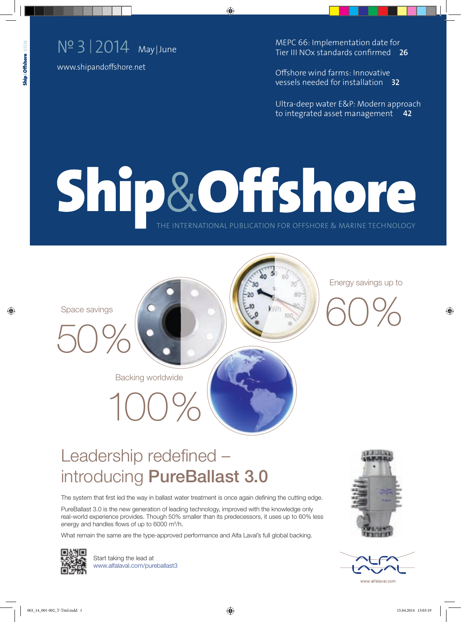

www.shipandoffshore.net

MEPC 66: Implementation date for Tier III NOx standards confirmed **26**

Offshore wind farms: Innovative vessels needed for installation **32**

Ultra-deep water E&P: Modern approach to integrated asset management **42**

# Ship&Offshore THE INTERNATIONAL PUBLICATION FOR OFFSHORE & MARINE TECHNOLOGY



50%



Energy savings up to



### Leadership redefined introducing PureBallast 3.0

Backing worldwide

100%

The system that first led the way in ballast water treatment is once again defining the cutting edge.

PureBallast 3.0 is the new generation of leading technology, improved with the knowledge only real-world experience provides. Though 50% smaller than its predecessors, it uses up to 60% less energy and handles flows of up to  $6000 \text{ m}^3/\text{h}$ .

What remain the same are the type-approved performance and Alfa Laval's full global backing.



Start taking the lead at www.alfalaval.com/pureballast3

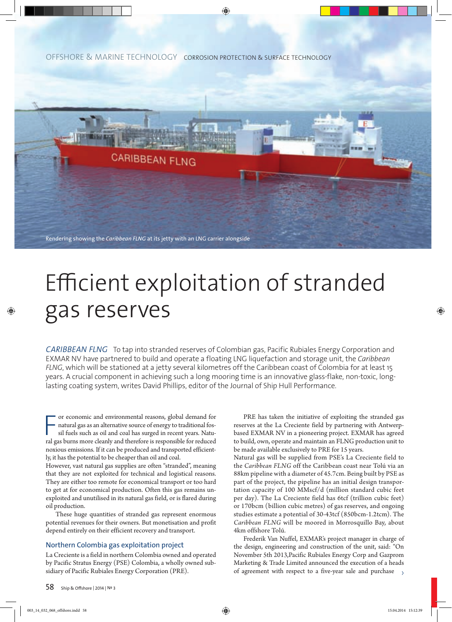OFFSHORE & MARINE TECHNOLOGY CORROSION PROTECTION & SURFACE TECHNOLOGY



## Efficient exploitation of stranded gas reserves

*CARIBBEAN FLNG* To tap into stranded reserves of Colombian gas, Pacific Rubiales Energy Corporation and EXMAR NV have partnered to build and operate a floating LNG liquefaction and storage unit, the *Caribbean FLNG*, which will be stationed at a jetty several kilometres off the Caribbean coast of Colombia for at least 15 years. A crucial component in achieving such a long mooring time is an innovative glass-flake, non-toxic, longlasting coating system, writes David Phillips, editor of the Journal of Ship Hull Performance.

For economic and environmental reasons, global demand for natural gas as an alternative source of energy to traditional fossil fuels such as oil and coal has surged in recent years. Natural gas burns more cleanly and there or economic and environmental reasons, global demand for natural gas as an alternative source of energy to traditional fossil fuels such as oil and coal has surged in recent years. Natunoxious emissions. If it can be produced and transported efficiently, it has the potential to be cheaper than oil and coal.

However, vast natural gas supplies are often "stranded", meaning that they are not exploited for technical and logistical reasons. They are either too remote for economical transport or too hard to get at for economical production. Often this gas remains unexploited and unutilised in its natural gas field, or is flared during oil production.

These huge quantities of stranded gas represent enormous potential revenues for their owners. But monetisation and profit depend entirely on their efficient recovery and transport.

#### Northern Colombia gas exploitation project

La Creciente is a field in northern Colombia owned and operated by Pacific Stratus Energy (PSE) Colombia, a wholly owned subsidiary of Pacific Rubiales Energy Corporation (PRE).

PRE has taken the initiative of exploiting the stranded gas reserves at the La Creciente field by partnering with Antwerpbased EXMAR NV in a pioneering project. EXMAR has agreed to build, own, operate and maintain an FLNG production unit to be made available exclusively to PRE for 15 years.

Natural gas will be supplied from PSE's La Creciente field to the *Caribbean FLNG* off the Caribbean coast near Tolú via an 88km pipeline with a diameter of 45.7cm. Being built by PSE as part of the project, the pipeline has an initial design transportation capacity of 100 MMscf/d (million standard cubic feet per day). The La Creciente field has 6tcf (trillion cubic feet) or 170bcm (billion cubic metres) of gas reserves, and ongoing studies estimate a potential of 30-43tcf (850bcm-1.2tcm). The *Caribbean FLNG* will be moored in Morrosquillo Bay, about 4km offshore Tolú.

Frederik Van Nuffel, EXMAR's project manager in charge of the design, engineering and construction of the unit, said: "On November 5th 2013,Pacific Rubiales Energy Corp and Gazprom Marketing & Trade Limited announced the execution of a heads of agreement with respect to a five-year sale and purchase  $\rightarrow$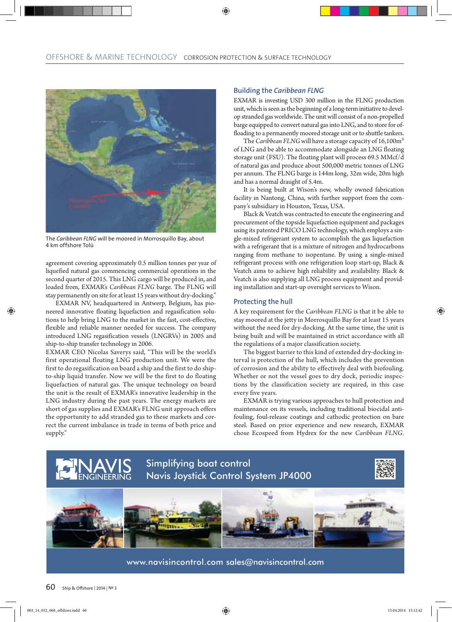

The *Caribbean FLNG* will be moored in Morrosquillo Bay, about 4 km offshore Tolú

agreement covering approximately 0.5 million tonnes per year of liquefied natural gas commencing commercial operations in the second quarter of 2015. This LNG cargo will be produced in, and loaded from, EXMAR's *Caribbean FLNG* barge. The FLNG will stay permanently on site for at least 15 years without dry-docking."

EXMAR NV, headquartered in Antwerp, Belgium, has pioneered innovative floating liquefaction and regasification solutions to help bring LNG to the market in the fast, cost-effective, flexible and reliable manner needed for success. The company introduced LNG regasification vessels (LNGRVs) in 2005 and ship-to-ship transfer technology in 2006.

EXMAR CEO Nicolas Saverys said, "This will be the world's first operational floating LNG production unit. We were the first to do regasification on board a ship and the first to do shipto-ship liquid transfer. Now we will be the first to do floating liquefaction of natural gas. The unique technology on board the unit is the result of EXMAR's innovative leadership in the LNG industry during the past years. The energy markets are short of gas supplies and EXMAR's FLNG unit approach offers the opportunity to add stranded gas to these markets and correct the current imbalance in trade in terms of both price and supply."

#### Building the *Caribbean FLNG*

EXMAR is investing USD 300 million in the FLNG production unit, which is seen as the beginning of a long-term initiative to develop stranded gas worldwide. The unit will consist of a non-propelled barge equipped to convert natural gas into LNG, and to store for offloading to a permanently moored storage unit or to shuttle tankers.

The *Caribbean FLNG* will have a storage capacity of 16,100m<sup>3</sup> of LNG and be able to accommodate alongside an LNG floating storage unit (FSU). The floating plant will process 69.5 MMcf/d of natural gas and produce about 500,000 metric tonnes of LNG per annum. The FLNG barge is 144m long, 32m wide, 20m high and has a normal draught of 5.4m.

It is being built at Wison's new, wholly owned fabrication facility in Nantong, China, with further support from the company's subsidiary in Houston, Texas, USA.

Black & Veatch was contracted to execute the engineering and procurement of the topside liquefaction equipment and packages using its patented PRICO LNG technology, which employs a single-mixed refrigerant system to accomplish the gas liquefaction with a refrigerant that is a mixture of nitrogen and hydrocarbons ranging from methane to isopentane. By using a single-mixed refrigerant process with one refrigeration loop start-up, Black & Veatch aims to achieve high reliability and availability. Black & Veatch is also supplying all LNG process equipment and providing installation and start-up oversight services to Wison.

#### Protecting the hull

A key requirement for the *Caribbean FLNG* is that it be able to stay moored at the jetty in Morrosquillo Bay for at least 15 years without the need for dry-docking. At the same time, the unit is being built and will be maintained in strict accordance with all the regulations of a major classification society.

The biggest barrier to this kind of extended dry-docking interval is protection of the hull, which includes the prevention of corrosion and the ability to effectively deal with biofouling. Whether or not the vessel goes to dry dock, periodic inspections by the classification society are required, in this case every five years.

EXMAR is trying various approaches to hull protection and maintenance on its vessels, including traditional biocidal antifouling, foul-release coatings and cathodic protection on bare steel. Based on prior experience and new research, EXMAR chose Ecospeed from Hydrex for the new *Caribbean FLNG*.



www.navisincontrol.com sales@navisincontrol.com